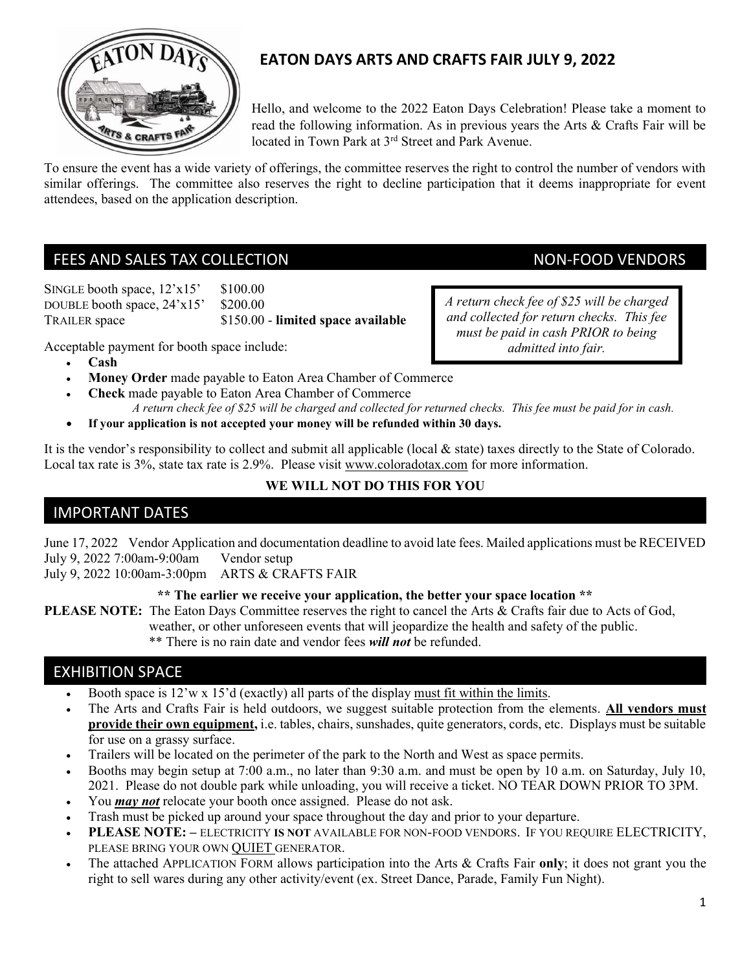

# EATON DAYS ARTS AND CRAFTS FAIR JULY 9, 2022

Hello, and welcome to the 2022 Eaton Days Celebration! Please take a moment to read the following information. As in previous years the Arts & Crafts Fair will be located in Town Park at 3rd Street and Park Avenue.

To ensure the event has a wide variety of offerings, the committee reserves the right to control the number of vendors with similar offerings. The committee also reserves the right to decline participation that it deems inappropriate for event attendees, based on the application description.

## FEES AND SALES TAX COLLECTION NON-FOOD VENDORS

SINGLE booth space,  $12 \times 15'$  \$100.00 DOUBLE booth space,  $24 \times 15'$  \$200.00 TRAILER space \$150.00 - limited space available

A return check fee of \$25 will be charged and collected for return checks. This fee must be paid in cash PRIOR to being admitted into fair.

Acceptable payment for booth space include:

- Cash
- Money Order made payable to Eaton Area Chamber of Commerce
- Check made payable to Eaton Area Chamber of Commerce A return check fee of \$25 will be charged and collected for returned checks. This fee must be paid for in cash.
- If your application is not accepted your money will be refunded within 30 days.

It is the vendor's responsibility to collect and submit all applicable (local & state) taxes directly to the State of Colorado. Local tax rate is 3%, state tax rate is 2.9%. Please visit www.coloradotax.com for more information.

# WE WILL NOT DO THIS FOR YOU

## IMPORTANT DATES

June 17, 2022 Vendor Application and documentation deadline to avoid late fees. Mailed applications must be RECEIVED July 9, 2022 7:00am-9:00am Vendor setup

July 9, 2022 10:00am-3:00pm ARTS & CRAFTS FAIR

### \*\* The earlier we receive your application, the better your space location \*\*

PLEASE NOTE: The Eaton Days Committee reserves the right to cancel the Arts & Crafts fair due to Acts of God,

weather, or other unforeseen events that will jeopardize the health and safety of the public.

\*\* There is no rain date and vendor fees *will not* be refunded.

## EXHIBITION SPACE

- Booth space is  $12'w \times 15'$ d (exactly) all parts of the display must fit within the limits.
- The Arts and Crafts Fair is held outdoors, we suggest suitable protection from the elements. All vendors must provide their own equipment, i.e. tables, chairs, sunshades, quite generators, cords, etc. Displays must be suitable for use on a grassy surface.
- Trailers will be located on the perimeter of the park to the North and West as space permits.
- Booths may begin setup at 7:00 a.m., no later than 9:30 a.m. and must be open by 10 a.m. on Saturday, July 10, 2021. Please do not double park while unloading, you will receive a ticket. NO TEAR DOWN PRIOR TO 3PM.
- You *may not* relocate your booth once assigned. Please do not ask.
- Trash must be picked up around your space throughout the day and prior to your departure.
- PLEASE NOTE: ELECTRICITY IS NOT AVAILABLE FOR NON-FOOD VENDORS. IF YOU REQUIRE ELECTRICITY, PLEASE BRING YOUR OWN QUIET GENERATOR.
- The attached APPLICATION FORM allows participation into the Arts & Crafts Fair only; it does not grant you the right to sell wares during any other activity/event (ex. Street Dance, Parade, Family Fun Night).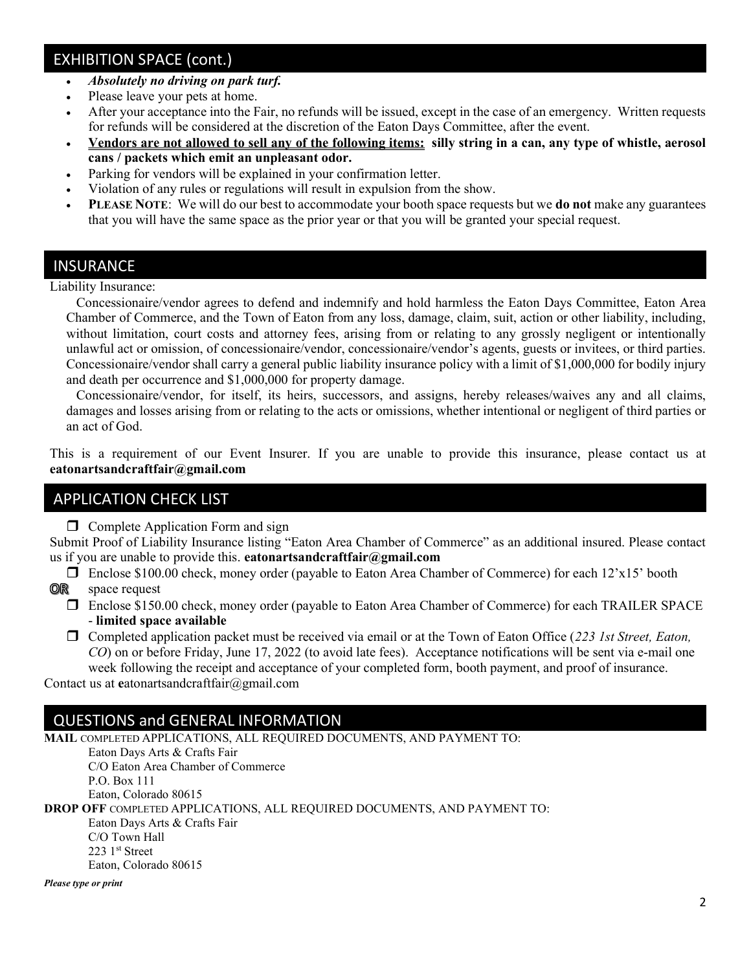# EXHIBITION SPACE (cont.)

- Absolutely no driving on park turf.
- Please leave your pets at home.
- After your acceptance into the Fair, no refunds will be issued, except in the case of an emergency. Written requests for refunds will be considered at the discretion of the Eaton Days Committee, after the event.
- Vendors are not allowed to sell any of the following items: silly string in a can, any type of whistle, aerosol cans / packets which emit an unpleasant odor.
- Parking for vendors will be explained in your confirmation letter.
- Violation of any rules or regulations will result in expulsion from the show.
- PLEASE NOTE: We will do our best to accommodate your booth space requests but we **do not** make any guarantees that you will have the same space as the prior year or that you will be granted your special request.

### INSURANCE

Liability Insurance:

 Concessionaire/vendor agrees to defend and indemnify and hold harmless the Eaton Days Committee, Eaton Area Chamber of Commerce, and the Town of Eaton from any loss, damage, claim, suit, action or other liability, including, without limitation, court costs and attorney fees, arising from or relating to any grossly negligent or intentionally unlawful act or omission, of concessionaire/vendor, concessionaire/vendor's agents, guests or invitees, or third parties. Concessionaire/vendor shall carry a general public liability insurance policy with a limit of \$1,000,000 for bodily injury and death per occurrence and \$1,000,000 for property damage.

 Concessionaire/vendor, for itself, its heirs, successors, and assigns, hereby releases/waives any and all claims, damages and losses arising from or relating to the acts or omissions, whether intentional or negligent of third parties or an act of God.

This is a requirement of our Event Insurer. If you are unable to provide this insurance, please contact us at eatonartsandcraftfair@gmail.com

## APPLICATION CHECK LIST

 $\Box$  Complete Application Form and sign

Submit Proof of Liability Insurance listing "Eaton Area Chamber of Commerce" as an additional insured. Please contact us if you are unable to provide this. eatonarts and craft fair  $\omega$  gmail.com

- Enclose \$100.00 check, money order (payable to Eaton Area Chamber of Commerce) for each 12'x15' booth 0R space request
	- Enclose \$150.00 check, money order (payable to Eaton Area Chamber of Commerce) for each TRAILER SPACE - limited space available
	- $\Box$  Completed application packet must be received via email or at the Town of Eaton Office (223 1st Street, Eaton, CO) on or before Friday, June 17, 2022 (to avoid late fees). Acceptance notifications will be sent via e-mail one week following the receipt and acceptance of your completed form, booth payment, and proof of insurance.

Contact us at eatonartsandcraftfair@gmail.com

## QUESTIONS and GENERAL INFORMATION

MAIL COMPLETED APPLICATIONS, ALL REQUIRED DOCUMENTS, AND PAYMENT TO: Eaton Days Arts & Crafts Fair C/O Eaton Area Chamber of Commerce P.O. Box 111 Eaton, Colorado 80615 DROP OFF COMPLETED APPLICATIONS, ALL REQUIRED DOCUMENTS, AND PAYMENT TO: Eaton Days Arts & Crafts Fair C/O Town Hall 223 1st Street Eaton, Colorado 80615 Please type or print